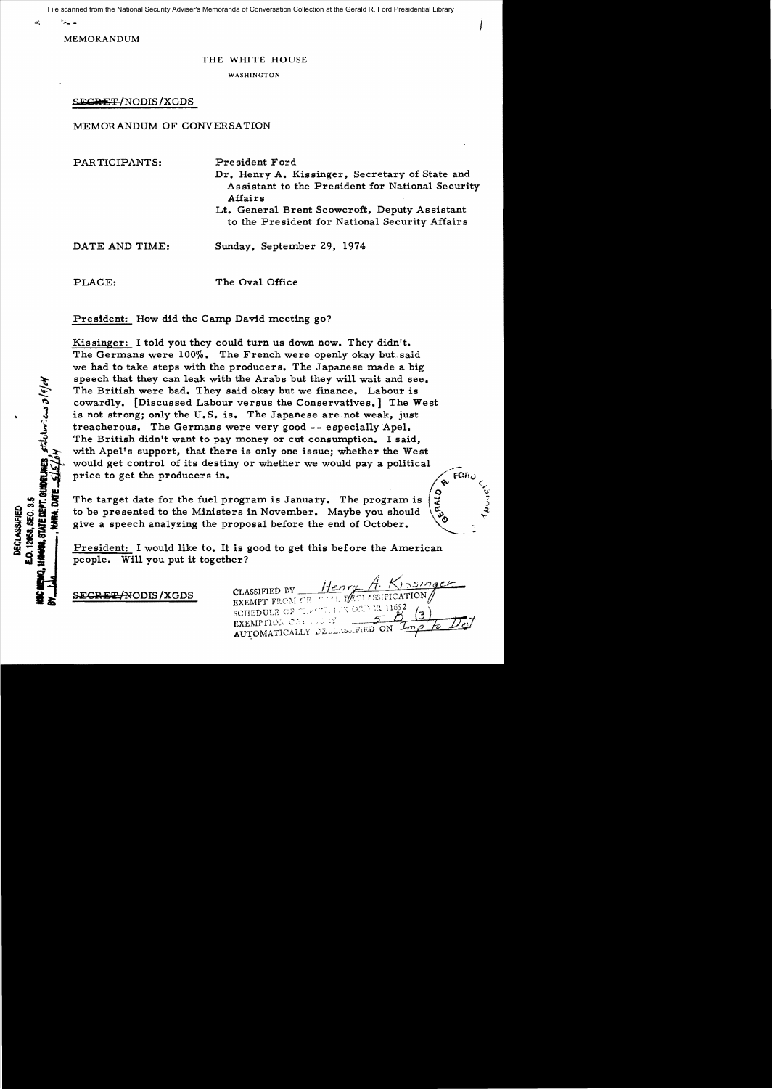File scanned from the National Security Adviser's Memoranda of Conversation Collection at the Gerald R. Ford Presidential Library

MEMORANDUM

### THE WHITE HOUSE

WASHINGTON

# SEGRET/NODIS/XGDS

## MEMORANDUM OF CONVERSATION

| PARTICIPANTS:  | President Ford<br>Dr. Henry A. Kissinger, Secretary of State and<br>Assistant to the President for National Security<br>Affairs<br>Lt. General Brent Scowcroft, Deputy Assistant<br>to the President for National Security Affairs |
|----------------|------------------------------------------------------------------------------------------------------------------------------------------------------------------------------------------------------------------------------------|
| DATE AND TIME: | Sunday, September 29, 1974                                                                                                                                                                                                         |

PLACE: The Oval Office

President: How did the Camp David meeting go?

Kissinger: I told you they could turn us down now. They didn't. The Germans were 100%. The French were openly okay but said we had to take steps with the producers. The Japanese made a big speech that they can leak with the Arabs but they will wait and see. The British were bad. They said okay but we finance. Labour is cowardly. [Discussed Labour versus the Conservatives.] The West is not strong; only the U.S. is. The Japanese are not weak, just treacherous. The Germans were very good -- especially Apel. The British didn't want to pay money or cut consumption. I said, with Apel's support, that there is only one issue; whether the West would get control of its destiny or whether we would pay a political price to get the producers in.

The target date for the fuel program is January. The program is to be presented to the Ministers in November. Maybe you should  $\begin{pmatrix} 5 \\ 5 \end{pmatrix}$   $\begin{pmatrix} 3 \\ 7 \end{pmatrix}$ 

President: I would like to. It is good to get this before the American people. Will you put it together?

• a;. S;i;CR ii'io:/NODIS /XGDS

Henry H. CLASSIFIED BY **CLASSIFIED BY** THE TALL ISSERICATION SCHEDULE OF THE THIS OND EX EXEMPTION CALCULARY AUTOMATICALLY DELLASSERED ON

 $\star$  (  $\overline{\mathbf{Q}}$  to  $\overline{\mathbf{U}}$ 

BIMIE DEPT. GUNDELINES STAULUNIONS 3/4/04 **C.O. 12968, SEC. 3.5** DECLASSIFIED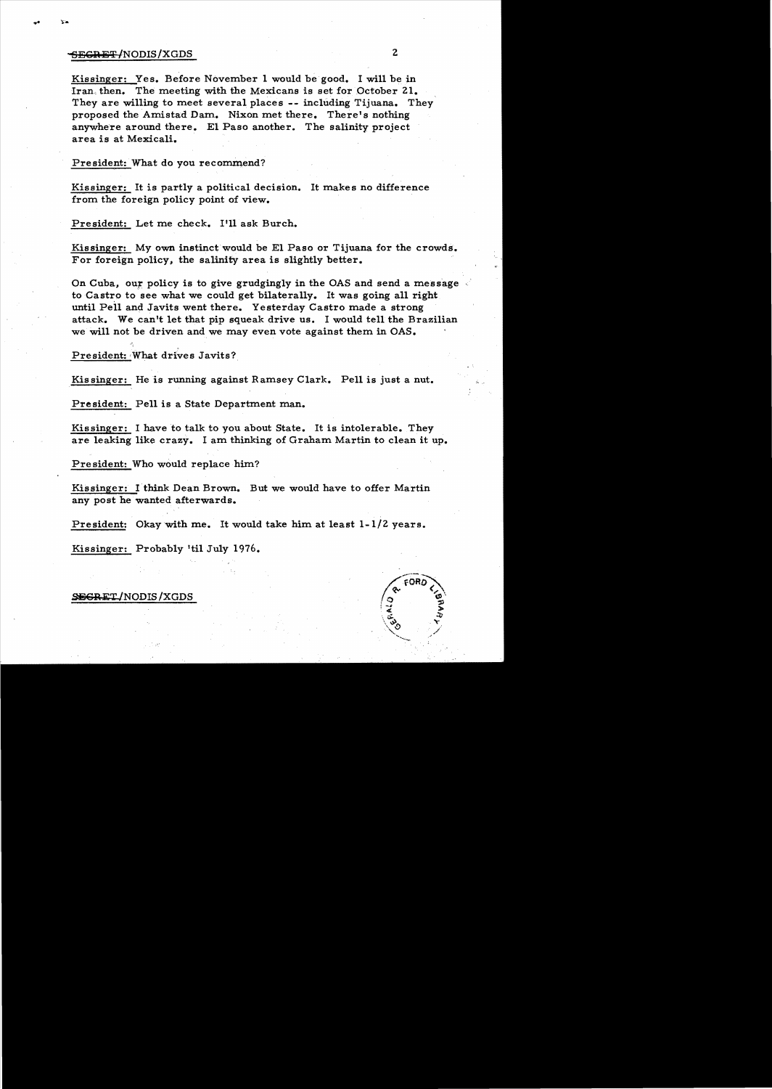# <del>SEGRET</del>/NODIS/XGDS 2

Kissinger: Yes. Before November 1 would be good. I will be in Iran, then. The meeting with the Mexicans is set for October 21. They are willing to meet several places -- including Tijuana. They proposed the Amistad Dam. Nixon met there. There's nothing anywhere around there. El Paso another. The salinity project area is at Mexicali.

President: What do you recommend?

Kissinger: It is partly a political decision. It makes no difference from the foreign policy point of view.

President: Let me check. I'll ask Burch.

Kissinger: My own instinct would be El Paso or Tijuana for the crowds. For foreign policy, the salinity area is slightly better.

On Cuba, our policy is to give grudgingly in the OAS and send a message to Castro to see what we could get bilaterally. It was going all right until Pell and Javits went there. Yesterday Castro made a strong attack. We can't let that pip squeak drive us. I would tell the Brazilian we will not be driven and we may even vote against them in OAS.

President: What drives Javits?

Kissinger: He is running against Ramsey Clark. Pell is just a nut.

President: Pell is a State Department man.

Kissinger: I have to talk to you about State. It is intolerable. They are leaking like crazy. I am thinking of Graham Martin to clean it up.

President: Who would replace him?

Kissinger: I think Dean Brown. But we would have to offer Martin any post he wanted afterwards.

President: Okay with me. It would take him at least  $1-1/2$  years.

Kissinger: Probably 'til July 1976.

## SEGRET/NODIS/XGDS

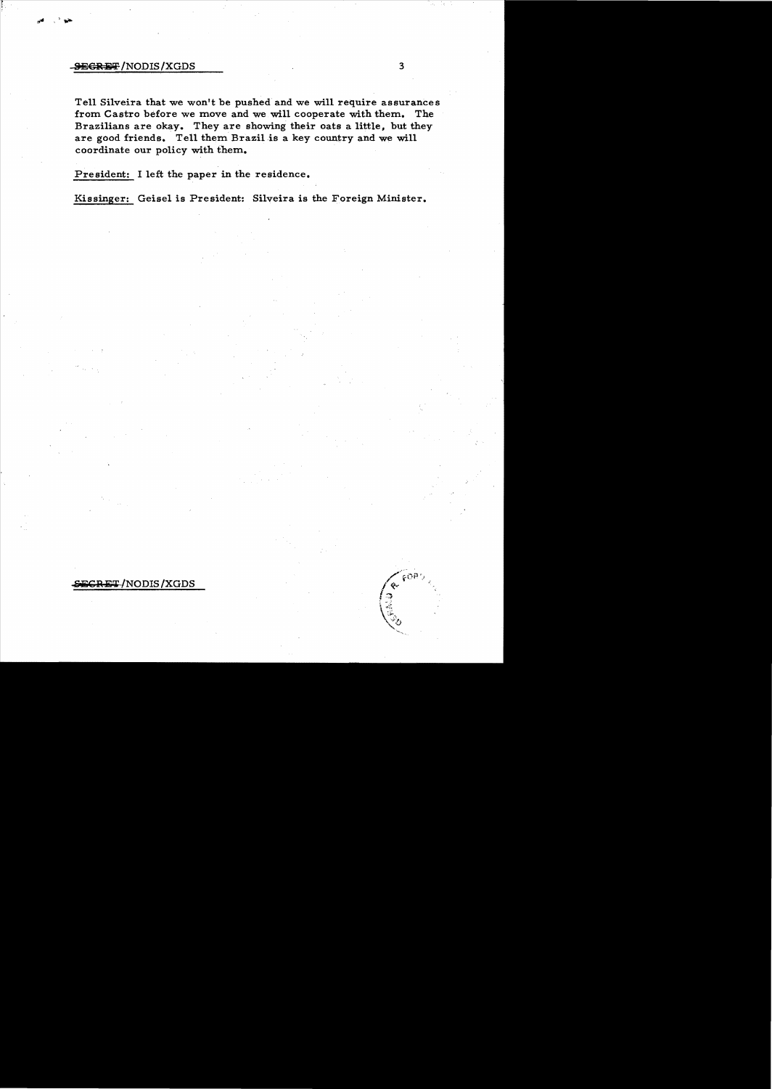#### **8:times:** A /NODIS/XGDS 3

Tell Silveira that we won't be pushed and we will require assurances from Castro before we move and we will cooperate with them. The Brazilians are okay. They are showing their oats a little, but they are good friends. Tell them Brazil is a key country and we will coordinate our policy with them.

President: I left the paper in the residence.

Kissinger: Geisel is President: Silveira is the Foreign Minister.

# ET/NODIS/XGDS

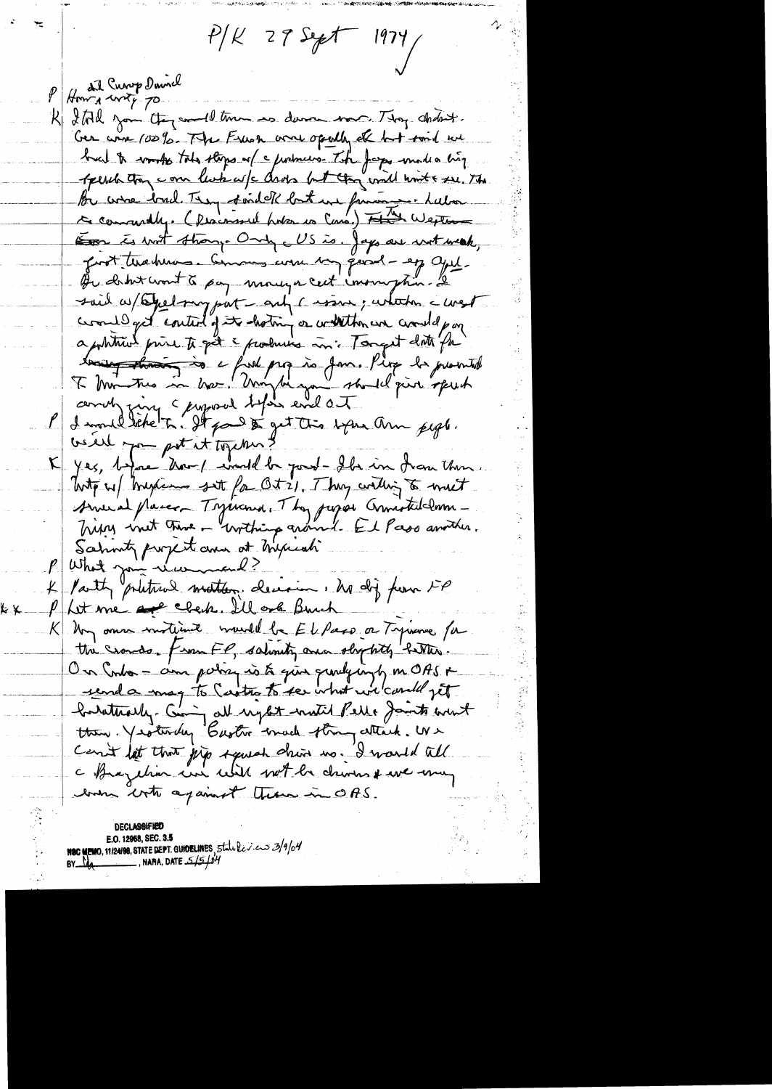$P/K$  29 Sept 1974

Home and Curry Downel R Ital you they would true is donor now. They abstract. Ger wire 100%. The Funch work openly el but tout we but & work tols there of c justmess. The Jeops made a big sperch than come leak afc drops but they will knot & see. The Be come trad. They sind of both une function - Lubar Example to wat though Only a US is Jap are without, fort thehim . Comments were my good - eg cycl. Que datent wont à pay moneya cert inour plus. Le said w/ Exchangent - only carson, whether a west crowd get content of its hoting or will then we crowd por apphtrant print to get a produces in Tonget date for tout the mother who was the same the de promised of the substitution of the send of the substitution of the substitution of the substitution of the substitution of the substitution of the substitution of the substitution o yes, before than I would be just - Ils in from then  $\vert \mathcal{L} \vert$ Toto up traxiens set for Oties, They willing to meet Sine at placer Tspirand. They pursue Connected Imm -Sahmt project and at myrich P What join recommend?<br>4 Party prietres matters decision, Maj from FP Phit me are elected the ork Buch K Non omne motivait muite be El Pars or Tynance for the crosses. From FP, salunity once shy htly better On Into - com potra is to give quilyingly in OAS + renda mag to Castro to see what we could get Cent let that jup squah drive no. I would till even into against them in OAS.

E.O. 12958, SEC. 3.5<br>O MEMO, 11/24/90, STATE DEPT. GUIDELINES, Statules experiences NAMA, DATE 5/5/04